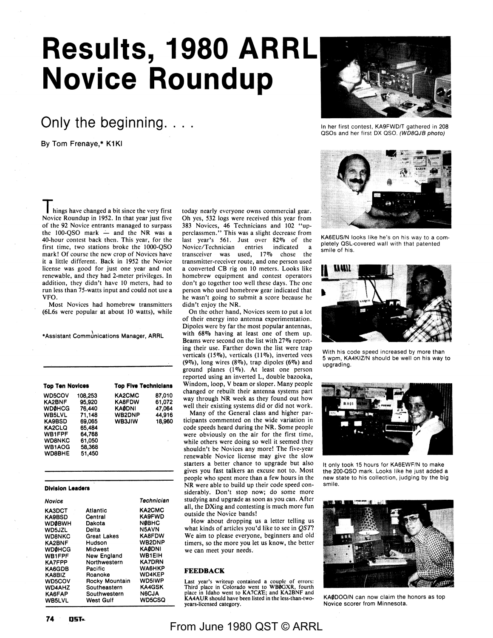# **Results, 1980 ARRL Novice Roundup**

## **Only the beginning.**

By Tom Frenaye,\* **K1KI** 

In her first contest, KA9FWD/T gathered in 208 QSOs and her first DX QSO. (WDBQJB photo)

hings have changed a bit since the very first Novice Roundup in 1952. In that year just five of the 92 Novice entrants managed to surpass the  $100$ -OSO mark  $-$  and the NR was a 40-hour contest back then. This year, for the first time, two stations broke the 1000-QSO mark! Of course the new crop of Novices have it a little different. Back in 1952 the Novice license was good for just one year and not renewable, and they had 2-meter privileges. In addition, they didn't have 10 meters, had to run less than 75-watts input and could not use a VFO.

Most Novices had homebrew transmitters (6L6s were popular at about 10 watts), while

\*Assistant Communications Manager, ARRL

| <b>Top Ten Novices</b> |         | <b>Top Five Technicians</b> |        |  |
|------------------------|---------|-----------------------------|--------|--|
| <b>WD5COV</b>          | 108.253 | <b>KA2CMC</b>               | 87.010 |  |
| <b>KA2BNF</b>          | 95.920  | <b>KA8FDW</b>               | 61,072 |  |
| <b>WDØHCG</b>          | 76,440  | <b>KAØDNI</b>               | 47.064 |  |
| <b>WB5LVL</b>          | 71.148  | WB2DNP                      | 44.916 |  |
| <b>KA9BSD</b>          | 69.065  | <b>WB3JIW</b>               | 18.960 |  |
| KA2CLQ                 | 65,484  |                             |        |  |
| WB1FPF                 | 64.768  |                             |        |  |
| <b>WD8NKC</b>          | 61.050  |                             | ٠      |  |
| WB1AOG                 | 58,368  |                             |        |  |
| WD8BHE                 | 51.450  |                             |        |  |

#### **Division Leaders**

| Novice        |                    | Technician    |
|---------------|--------------------|---------------|
| <b>KA3DCT</b> | Atlantic           | <b>KA2CMC</b> |
| <b>KA9BSD</b> | Central            | <b>KA9FWD</b> |
| <b>WDØBWH</b> | Dakota             | <b>NØBHC</b>  |
| WD5JZL        | Delta              | N5AVN         |
| <b>WD8NKC</b> | <b>Great Lakes</b> | <b>KA8FDW</b> |
| <b>KA2BNF</b> | Hudson             | <b>WB2DNP</b> |
| <b>WDØHCG</b> | Midwest            | <b>KAØDNI</b> |
| WB1FPF        | New England        | <b>WB1EIH</b> |
| <b>KA7FPP</b> | Northwestern       | <b>KA7DRN</b> |
| <b>KA6GDB</b> | Pacific            | <b>WA6HKP</b> |
| KA8BIZ        | Roanoke            | <b>WD4KEP</b> |
| <b>WD5COV</b> | Rocky Mountain     | <b>WD5IWP</b> |
| <b>WD4AHZ</b> | Southeastern       | <b>KA4GSK</b> |
| KA6FAP        | Southwestern       | <b>N6CJA</b>  |
| <b>WB5LVL</b> | West Gulf          | <b>WD5CSO</b> |

Oh yes, 532 logs were received this year from 383 Novices, 46 Technicians and 102 "upperclassmen." This was a slight decrease from last year's 561. Just over 82% of the Novice/Technician entries indicated a transceiver was used, 17% chose the transmitter-receiver route, and one person used a converted CB rig on 10 meters. Looks like homebrew equipment and contest operators don't go together too well these days. The one person who used homebrew gear indicated that he wasn't going to submit a score because he didn't enjoy the NR.

today nearly everyone owns commercial gear.

On the other hand, Novices seem to put a lot of their energy into antenna experimentation. Dipoles were by far the most popular antennas, with 68% having at least one of them up. Beams were second on the list with 27% reporting their use. Farther down the list were trap verticals (15%), verticals (11%), inverted vees (9%), long wires (8%), trap dipoles (6%) and ground planes  $(1\%)$ . At least one person reported using an inverted L, double bazooka, Windom, loop, **V** beam or sloper. Many people changed or rebuilt their antenna systems part way through **NR** week as they found out how well their existing systems did or did not work.

Many of the General class and higher participants commented on the wide variation in code speeds heard during the **NR.** Some people were obviously on the air for the first time, while others were doing so well it seemed they shouldn't be Novices any more! The five-year renewable Novice license may give the slow starters **a** better chance to upgrade but also gives you fast talkers an excuse not to. Most people who spent more than a few hours in the **NR** were able to build up their code speed considerably. Don't stop now; do some more studying and upgrade as soon as you can. After all, the DXing and contesting is much more fun outside the Novice bands!

How about dropping us a letter telling us what kinds of articles you'd like to see in *QST!*  We aim to please everyone, beginners and old timers, so the more you let us know, the better we can meet your needs.

#### **FEEDBACK**

Last year's writeup contained a couple of errors: Third place in Colorado went to **WB0GXR,** fourth place in Idaho went to **KA** 7CKE; and **KA2BNF** and **KA4AUR** should have been listed in the less-than-twoyears-licensed category.



KA6EUS/N looks like he's on his way to a completely QSL-covered wall with that patented smile of his.



With his code speed increased by more than 5 wpm, KA4KIZ/N should be well on his way to upgrading.



It only took 15 hours for KA6EWF/N to make the 200-QSO mark. Looks like he just added **a**  new state to his collection, judging by the big smile.



**KA0DOO/N** can now claim the honors as top Novice scorer from Minnesota.

### From June 1980 QST © ARRL